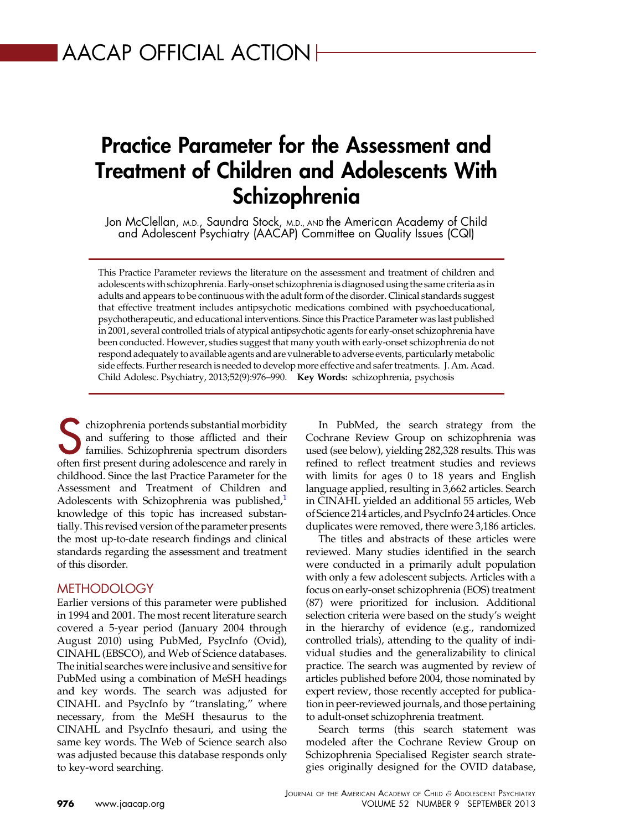# Practice Parameter for the Assessment and Treatment of Children and Adolescents With Schizophrenia

Jon McClellan, M.D., Saundra Stock, M.D., AND the American Academy of Child and Adolescent Psychiatry (AACAP) Committee on Quality Issues (CQI)

This Practice Parameter reviews the literature on the assessment and treatment of children and adolescentswith schizophrenia. Early-onset schizophrenia is diagnosed using the same criteria asin adults and appears to be continuous with the adult form of the disorder. Clinical standards suggest that effective treatment includes antipsychotic medications combined with psychoeducational, psychotherapeutic, and educational interventions. Since this Practice Parameter was last published in 2001, several controlled trials of atypical antipsychotic agents for early-onset schizophrenia have been conducted. However, studies suggest that many youth with early-onset schizophrenia do not respond adequately to available agents and are vulnerable to adverse events, particularly metabolic side effects. Further research is needed to develop more effective and safer treatments. J. Am. Acad. Child Adolesc. Psychiatry, 2013;52(9):976–990. Key Words: schizophrenia, psychosis

Chizophrenia portends substantial morbidity<br>and suffering to those afflicted and their<br>families. Schizophrenia spectrum disorders<br>often first present during adolescence and rarely in and suffering to those afflicted and their families. Schizophrenia spectrum disorders often first present during adolescence and rarely in childhood. Since the last Practice Parameter for the Assessment and Treatment of Children and Adolescents with Schizophrenia was published, $<sup>1</sup>$  $<sup>1</sup>$  $<sup>1</sup>$ </sup> knowledge of this topic has increased substantially. This revised version of the parameter presents the most up-to-date research findings and clinical standards regarding the assessment and treatment of this disorder.

### **METHODOLOGY**

Earlier versions of this parameter were published in 1994 and 2001. The most recent literature search covered a 5-year period (January 2004 through August 2010) using PubMed, PsycInfo (Ovid), CINAHL (EBSCO), and Web of Science databases. The initial searches were inclusive and sensitive for PubMed using a combination of MeSH headings and key words. The search was adjusted for CINAHL and PsycInfo by "translating," where necessary, from the MeSH thesaurus to the CINAHL and PsycInfo thesauri, and using the same key words. The Web of Science search also was adjusted because this database responds only to key-word searching.

In PubMed, the search strategy from the Cochrane Review Group on schizophrenia was used (see below), yielding 282,328 results. This was refined to reflect treatment studies and reviews with limits for ages 0 to 18 years and English language applied, resulting in 3,662 articles. Search in CINAHL yielded an additional 55 articles, Web of Science 214 articles, and PsycInfo 24 articles. Once duplicates were removed, there were 3,186 articles.

The titles and abstracts of these articles were reviewed. Many studies identified in the search were conducted in a primarily adult population with only a few adolescent subjects. Articles with a focus on early-onset schizophrenia (EOS) treatment (87) were prioritized for inclusion. Additional selection criteria were based on the study's weight in the hierarchy of evidence (e.g., randomized controlled trials), attending to the quality of individual studies and the generalizability to clinical practice. The search was augmented by review of articles published before 2004, those nominated by expert review, those recently accepted for publication in peer-reviewed journals, and those pertaining to adult-onset schizophrenia treatment.

Search terms (this search statement was modeled after the Cochrane Review Group on Schizophrenia Specialised Register search strategies originally designed for the OVID database,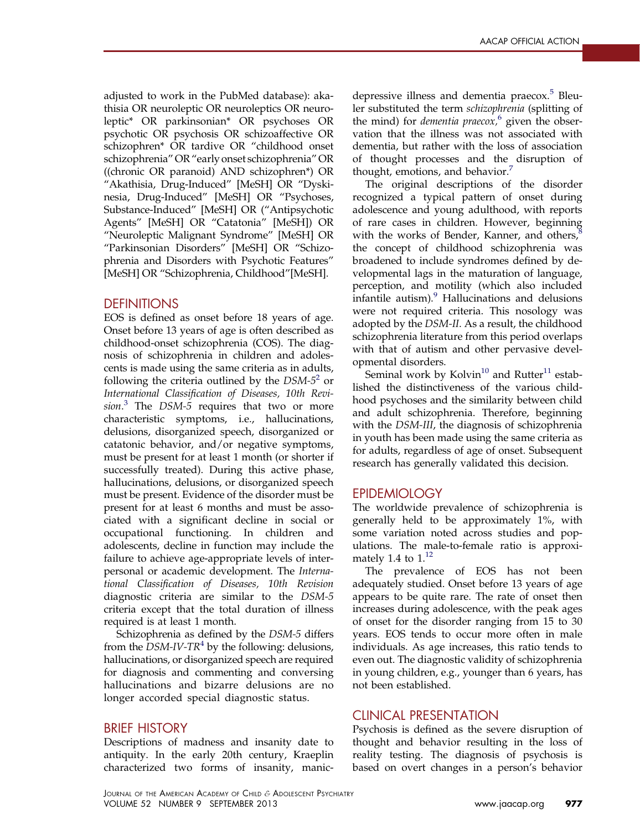adjusted to work in the PubMed database): akathisia OR neuroleptic OR neuroleptics OR neuroleptic\* OR parkinsonian\* OR psychoses OR psychotic OR psychosis OR schizoaffective OR schizophren\* OR tardive OR "childhood onset schizophrenia"OR"early onset schizophrenia"OR ((chronic OR paranoid) AND schizophren\*) OR "Akathisia, Drug-Induced" [MeSH] OR "Dyskinesia, Drug-Induced" [MeSH] OR "Psychoses, Substance-Induced" [MeSH] OR ("Antipsychotic Agents" [MeSH] OR "Catatonia" [MeSH]) OR "Neuroleptic Malignant Syndrome" [MeSH] OR "Parkinsonian Disorders" [MeSH] OR "Schizophrenia and Disorders with Psychotic Features" [MeSH] OR "Schizophrenia, Childhood"[MeSH].

## DEFINITIONS

EOS is defined as onset before 18 years of age. Onset before 13 years of age is often described as childhood-onset schizophrenia (COS). The diagnosis of schizophrenia in children and adolescents is made using the same criteria as in adults, following the criteria outlined by the  $DSM-5<sup>2</sup>$  $DSM-5<sup>2</sup>$  $DSM-5<sup>2</sup>$  or International Classification of Diseases, 10th Revi-sion.<sup>[3](#page-11-0)</sup> The *DSM-5* requires that two or more characteristic symptoms, i.e., hallucinations, delusions, disorganized speech, disorganized or catatonic behavior, and/or negative symptoms, must be present for at least 1 month (or shorter if successfully treated). During this active phase, hallucinations, delusions, or disorganized speech must be present. Evidence of the disorder must be present for at least 6 months and must be associated with a significant decline in social or occupational functioning. In children and adolescents, decline in function may include the failure to achieve age-appropriate levels of interpersonal or academic development. The International Classification of Diseases, 10th Revision diagnostic criteria are similar to the DSM-5 criteria except that the total duration of illness required is at least 1 month.

Schizophrenia as defined by the DSM-5 differs from the DSM-IV-TR<sup>[4](#page-11-0)</sup> by the following: delusions, hallucinations, or disorganized speech are required for diagnosis and commenting and conversing hallucinations and bizarre delusions are no longer accorded special diagnostic status.

depressive illness and dementia praecox.<sup>[5](#page-11-0)</sup> Bleuler substituted the term schizophrenia (splitting of the mind) for *dementia praecox*, $^6$  $^6$  given the observation that the illness was not associated with dementia, but rather with the loss of association of thought processes and the disruption of thought, emotions, and behavior.<sup>[7](#page-12-0)</sup>

The original descriptions of the disorder recognized a typical pattern of onset during adolescence and young adulthood, with reports of rare cases in children. However, beginning with the works of Bender, Kanner, and others, $\delta$ the concept of childhood schizophrenia was broadened to include syndromes defined by developmental lags in the maturation of language, perception, and motility (which also included infantile autism).<sup>[9](#page-12-0)</sup> Hallucinations and delusions were not required criteria. This nosology was adopted by the DSM-II. As a result, the childhood schizophrenia literature from this period overlaps with that of autism and other pervasive developmental disorders.

Seminal work by Kolvin<sup>[10](#page-12-0)</sup> and Rutter<sup>[11](#page-12-0)</sup> established the distinctiveness of the various childhood psychoses and the similarity between child and adult schizophrenia. Therefore, beginning with the *DSM-III*, the diagnosis of schizophrenia in youth has been made using the same criteria as for adults, regardless of age of onset. Subsequent research has generally validated this decision.

## **EPIDEMIOLOGY**

The worldwide prevalence of schizophrenia is generally held to be approximately 1%, with some variation noted across studies and populations. The male-to-female ratio is approximately 1.4 to  $1<sup>12</sup>$  $1<sup>12</sup>$  $1<sup>12</sup>$ 

The prevalence of EOS has not been adequately studied. Onset before 13 years of age appears to be quite rare. The rate of onset then increases during adolescence, with the peak ages of onset for the disorder ranging from 15 to 30 years. EOS tends to occur more often in male individuals. As age increases, this ratio tends to even out. The diagnostic validity of schizophrenia in young children, e.g., younger than 6 years, has not been established.

## CLINICAL PRESENTATION

Psychosis is defined as the severe disruption of thought and behavior resulting in the loss of reality testing. The diagnosis of psychosis is based on overt changes in a person's behavior

## BRIEF HISTORY

Descriptions of madness and insanity date to antiquity. In the early 20th century, Kraeplin characterized two forms of insanity, manic-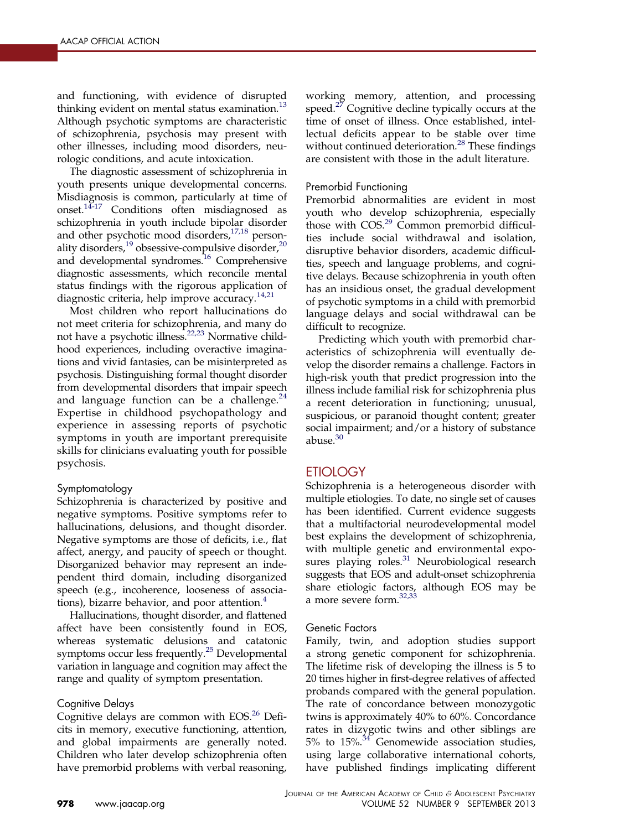and functioning, with evidence of disrupted thinking evident on mental status examination. $^{13}$  $^{13}$  $^{13}$ Although psychotic symptoms are characteristic of schizophrenia, psychosis may present with other illnesses, including mood disorders, neurologic conditions, and acute intoxication.

The diagnostic assessment of schizophrenia in youth presents unique developmental concerns. Misdiagnosis is common, particularly at time of onset[.14-17](#page-12-0) Conditions often misdiagnosed as schizophrenia in youth include bipolar disorder and other psychotic mood disorders,<sup>17,18</sup> personality disorders, $^{19}$  obsessive-compulsive disorder, $^{20}$ and developmental syndromes.<sup>[16](#page-12-0)</sup> Comprehensive diagnostic assessments, which reconcile mental status findings with the rigorous application of diagnostic criteria, help improve accuracy. $14,21$ 

Most children who report hallucinations do not meet criteria for schizophrenia, and many do not have a psychotic illness[.22,23](#page-12-0) Normative childhood experiences, including overactive imaginations and vivid fantasies, can be misinterpreted as psychosis. Distinguishing formal thought disorder from developmental disorders that impair speech and language function can be a challenge. $24$ Expertise in childhood psychopathology and experience in assessing reports of psychotic symptoms in youth are important prerequisite skills for clinicians evaluating youth for possible psychosis.

### Symptomatology

Schizophrenia is characterized by positive and negative symptoms. Positive symptoms refer to hallucinations, delusions, and thought disorder. Negative symptoms are those of deficits, i.e., flat affect, anergy, and paucity of speech or thought. Disorganized behavior may represent an independent third domain, including disorganized speech (e.g., incoherence, looseness of associations), bizarre behavior, and poor attention. $4$ 

Hallucinations, thought disorder, and flattened affect have been consistently found in EOS, whereas systematic delusions and catatonic symptoms occur less frequently.<sup>[25](#page-12-0)</sup> Developmental variation in language and cognition may affect the range and quality of symptom presentation.

#### Cognitive Delays

Cognitive delays are common with EOS.<sup>[26](#page-12-0)</sup> Deficits in memory, executive functioning, attention, and global impairments are generally noted. Children who later develop schizophrenia often have premorbid problems with verbal reasoning,

working memory, attention, and processing speed.<sup>[27](#page-12-0)</sup> Cognitive decline typically occurs at the time of onset of illness. Once established, intellectual deficits appear to be stable over time without continued deterioration.<sup>[28](#page-12-0)</sup> These findings are consistent with those in the adult literature.

#### Premorbid Functioning

Premorbid abnormalities are evident in most youth who develop schizophrenia, especially those with COS.<sup>[29](#page-12-0)</sup> Common premorbid difficulties include social withdrawal and isolation, disruptive behavior disorders, academic difficulties, speech and language problems, and cognitive delays. Because schizophrenia in youth often has an insidious onset, the gradual development of psychotic symptoms in a child with premorbid language delays and social withdrawal can be difficult to recognize.

Predicting which youth with premorbid characteristics of schizophrenia will eventually develop the disorder remains a challenge. Factors in high-risk youth that predict progression into the illness include familial risk for schizophrenia plus a recent deterioration in functioning; unusual, suspicious, or paranoid thought content; greater social impairment; and/or a history of substance abuse. $30$ 

## ETIOLOGY

Schizophrenia is a heterogeneous disorder with multiple etiologies. To date, no single set of causes has been identified. Current evidence suggests that a multifactorial neurodevelopmental model best explains the development of schizophrenia, with multiple genetic and environmental expo-sures playing roles.<sup>[31](#page-12-0)</sup> Neurobiological research suggests that EOS and adult-onset schizophrenia share etiologic factors, although EOS may be a more severe form[.32,33](#page-12-0)

#### Genetic Factors

Family, twin, and adoption studies support a strong genetic component for schizophrenia. The lifetime risk of developing the illness is 5 to 20 times higher in first-degree relatives of affected probands compared with the general population. The rate of concordance between monozygotic twins is approximately 40% to 60%. Concordance rates in dizygotic twins and other siblings are  $5\%$  to  $15\%$ .<sup>[34](#page-12-0)</sup> Genomewide association studies, using large collaborative international cohorts, have published findings implicating different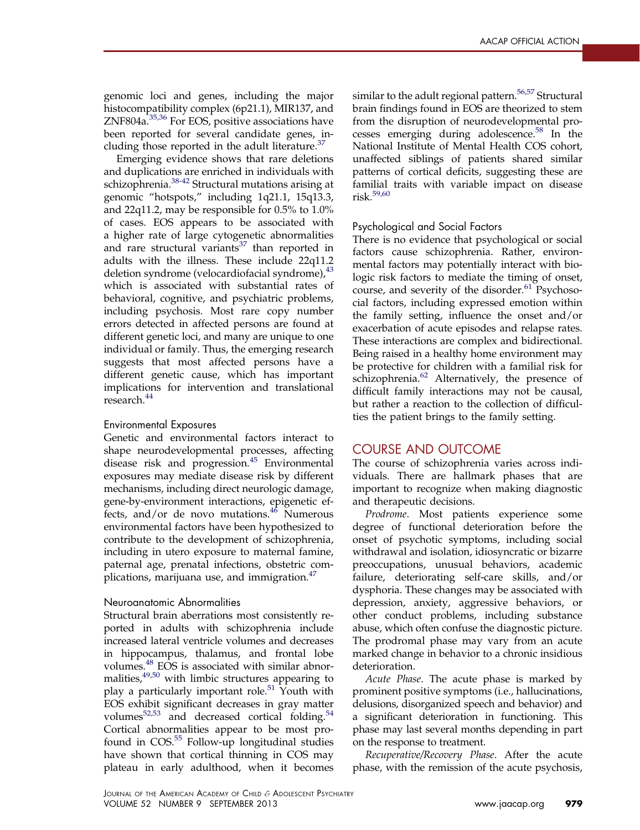genomic loci and genes, including the major histocompatibility complex (6p21.1), MIR137, and ZNF804a.<sup>[35,36](#page-12-0)</sup> For EOS, positive associations have been reported for several candidate genes, including those reported in the adult literature. $37$ 

Emerging evidence shows that rare deletions and duplications are enriched in individuals with schizophrenia.<sup>[38-42](#page-12-0)</sup> Structural mutations arising at genomic "hotspots," including 1q21.1, 15q13.3, and 22q11.2, may be responsible for 0.5% to 1.0% of cases. EOS appears to be associated with a higher rate of large cytogenetic abnormalities and rare structural variants $37$  than reported in adults with the illness. These include 22q11.2 deletion syndrome (velocardiofacial syndrome),<sup>[43](#page-12-0)</sup> which is associated with substantial rates of behavioral, cognitive, and psychiatric problems, including psychosis. Most rare copy number errors detected in affected persons are found at different genetic loci, and many are unique to one individual or family. Thus, the emerging research suggests that most affected persons have a different genetic cause, which has important implications for intervention and translational research.[44](#page-12-0)

### Environmental Exposures

Genetic and environmental factors interact to shape neurodevelopmental processes, affecting disease risk and progression.<sup>[45](#page-12-0)</sup> Environmental exposures may mediate disease risk by different mechanisms, including direct neurologic damage, gene-by-environment interactions, epigenetic effects, and/or de novo mutations. $46$  Numerous environmental factors have been hypothesized to contribute to the development of schizophrenia, including in utero exposure to maternal famine, paternal age, prenatal infections, obstetric com-plications, marijuana use, and immigration.<sup>[47](#page-12-0)</sup>

#### Neuroanatomic Abnormalities

Structural brain aberrations most consistently reported in adults with schizophrenia include increased lateral ventricle volumes and decreases in hippocampus, thalamus, and frontal lobe volumes[.48](#page-12-0) EOS is associated with similar abnormalities, $49,50$  with limbic structures appearing to play a particularly important role.<sup>51</sup> Youth with EOS exhibit significant decreases in gray matter volumes $52,53$  and decreased cortical folding. $54$ Cortical abnormalities appear to be most profound in  $COS.<sup>55</sup>$  Follow-up longitudinal studies have shown that cortical thinning in COS may plateau in early adulthood, when it becomes

similar to the adult regional pattern.<sup>56,57</sup> Structural brain findings found in EOS are theorized to stem from the disruption of neurodevelopmental pro-cesses emerging during adolescence.<sup>[58](#page-13-0)</sup> In the National Institute of Mental Health COS cohort, unaffected siblings of patients shared similar patterns of cortical deficits, suggesting these are familial traits with variable impact on disease risk. $59,60$ 

## Psychological and Social Factors

There is no evidence that psychological or social factors cause schizophrenia. Rather, environmental factors may potentially interact with biologic risk factors to mediate the timing of onset, course, and severity of the disorder.<sup>[61](#page-13-0)</sup> Psychosocial factors, including expressed emotion within the family setting, influence the onset and/or exacerbation of acute episodes and relapse rates. These interactions are complex and bidirectional. Being raised in a healthy home environment may be protective for children with a familial risk for schizophrenia.<sup>[62](#page-13-0)</sup> Alternatively, the presence of difficult family interactions may not be causal, but rather a reaction to the collection of difficulties the patient brings to the family setting.

## COURSE AND OUTCOME

The course of schizophrenia varies across individuals. There are hallmark phases that are important to recognize when making diagnostic and therapeutic decisions.

Prodrome. Most patients experience some degree of functional deterioration before the onset of psychotic symptoms, including social withdrawal and isolation, idiosyncratic or bizarre preoccupations, unusual behaviors, academic failure, deteriorating self-care skills, and/or dysphoria. These changes may be associated with depression, anxiety, aggressive behaviors, or other conduct problems, including substance abuse, which often confuse the diagnostic picture. The prodromal phase may vary from an acute marked change in behavior to a chronic insidious deterioration.

Acute Phase. The acute phase is marked by prominent positive symptoms (i.e., hallucinations, delusions, disorganized speech and behavior) and a significant deterioration in functioning. This phase may last several months depending in part on the response to treatment.

Recuperative/Recovery Phase. After the acute phase, with the remission of the acute psychosis,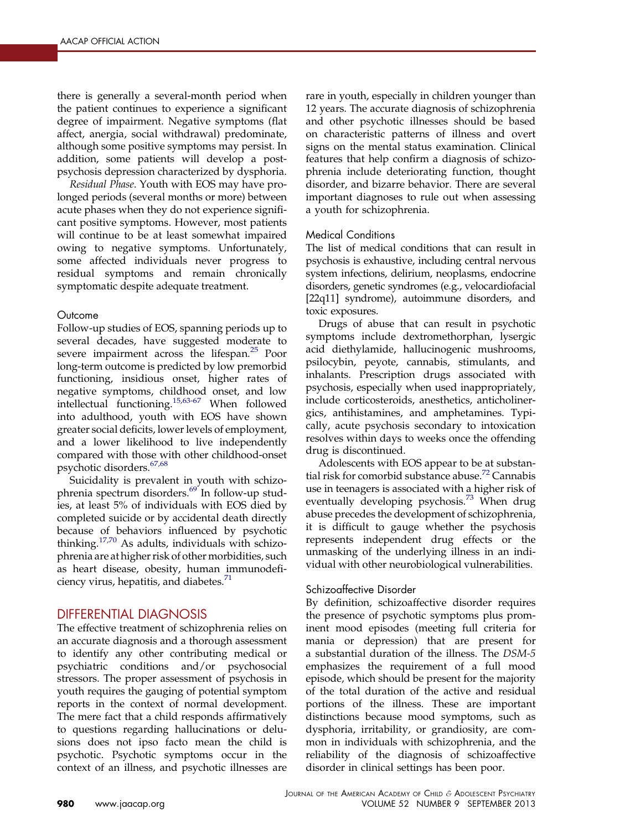there is generally a several-month period when the patient continues to experience a significant degree of impairment. Negative symptoms (flat affect, anergia, social withdrawal) predominate, although some positive symptoms may persist. In addition, some patients will develop a postpsychosis depression characterized by dysphoria.

Residual Phase. Youth with EOS may have prolonged periods (several months or more) between acute phases when they do not experience significant positive symptoms. However, most patients will continue to be at least somewhat impaired owing to negative symptoms. Unfortunately, some affected individuals never progress to residual symptoms and remain chronically symptomatic despite adequate treatment.

#### Outcome

Follow-up studies of EOS, spanning periods up to several decades, have suggested moderate to severe impairment across the lifespan.<sup>[25](#page-12-0)</sup> Poor long-term outcome is predicted by low premorbid functioning, insidious onset, higher rates of negative symptoms, childhood onset, and low intellectual functioning.[15,63-67](#page-12-0) When followed into adulthood, youth with EOS have shown greater social deficits, lower levels of employment, and a lower likelihood to live independently compared with those with other childhood-onset psychotic disorders.<sup>[67,68](#page-13-0)</sup>

Suicidality is prevalent in youth with schizophrenia spectrum disorders.[69](#page-13-0) In follow-up studies, at least 5% of individuals with EOS died by completed suicide or by accidental death directly because of behaviors influenced by psychotic thinking. $17,70$  As adults, individuals with schizophrenia are at higher risk of other morbidities, such as heart disease, obesity, human immunodeficiency virus, hepatitis, and diabetes. $11$ 

## DIFFERENTIAL DIAGNOSIS

The effective treatment of schizophrenia relies on an accurate diagnosis and a thorough assessment to identify any other contributing medical or psychiatric conditions and/or psychosocial stressors. The proper assessment of psychosis in youth requires the gauging of potential symptom reports in the context of normal development. The mere fact that a child responds affirmatively to questions regarding hallucinations or delusions does not ipso facto mean the child is psychotic. Psychotic symptoms occur in the context of an illness, and psychotic illnesses are

rare in youth, especially in children younger than 12 years. The accurate diagnosis of schizophrenia and other psychotic illnesses should be based on characteristic patterns of illness and overt signs on the mental status examination. Clinical features that help confirm a diagnosis of schizophrenia include deteriorating function, thought disorder, and bizarre behavior. There are several important diagnoses to rule out when assessing a youth for schizophrenia.

#### Medical Conditions

The list of medical conditions that can result in psychosis is exhaustive, including central nervous system infections, delirium, neoplasms, endocrine disorders, genetic syndromes (e.g., velocardiofacial [22q11] syndrome), autoimmune disorders, and toxic exposures.

Drugs of abuse that can result in psychotic symptoms include dextromethorphan, lysergic acid diethylamide, hallucinogenic mushrooms, psilocybin, peyote, cannabis, stimulants, and inhalants. Prescription drugs associated with psychosis, especially when used inappropriately, include corticosteroids, anesthetics, anticholinergics, antihistamines, and amphetamines. Typically, acute psychosis secondary to intoxication resolves within days to weeks once the offending drug is discontinued.

Adolescents with EOS appear to be at substan-tial risk for comorbid substance abuse.<sup>[72](#page-13-0)</sup> Cannabis use in teenagers is associated with a higher risk of eventually developing psychosis.<sup>[73](#page-13-0)</sup> When drug abuse precedes the development of schizophrenia, it is difficult to gauge whether the psychosis represents independent drug effects or the unmasking of the underlying illness in an individual with other neurobiological vulnerabilities.

#### Schizoaffective Disorder

By definition, schizoaffective disorder requires the presence of psychotic symptoms plus prominent mood episodes (meeting full criteria for mania or depression) that are present for a substantial duration of the illness. The DSM-5 emphasizes the requirement of a full mood episode, which should be present for the majority of the total duration of the active and residual portions of the illness. These are important distinctions because mood symptoms, such as dysphoria, irritability, or grandiosity, are common in individuals with schizophrenia, and the reliability of the diagnosis of schizoaffective disorder in clinical settings has been poor.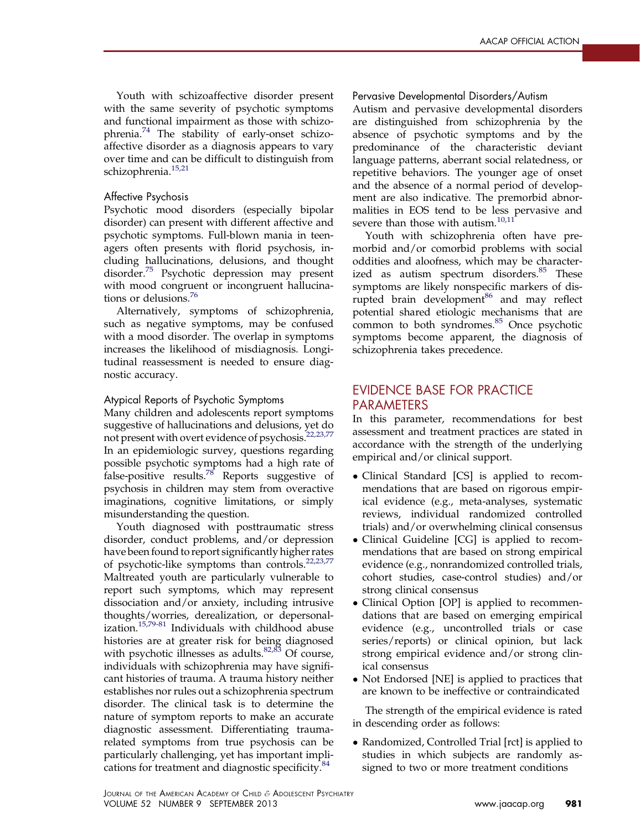Youth with schizoaffective disorder present with the same severity of psychotic symptoms and functional impairment as those with schizophrenia.[74](#page-13-0) The stability of early-onset schizoaffective disorder as a diagnosis appears to vary over time and can be difficult to distinguish from schizophrenia.<sup>[15,21](#page-12-0)</sup>

#### Affective Psychosis

Psychotic mood disorders (especially bipolar disorder) can present with different affective and psychotic symptoms. Full-blown mania in teenagers often presents with florid psychosis, including hallucinations, delusions, and thought disorder[.75](#page-13-0) Psychotic depression may present with mood congruent or incongruent hallucina-tions or delusions.<sup>[76](#page-13-0)</sup>

Alternatively, symptoms of schizophrenia, such as negative symptoms, may be confused with a mood disorder. The overlap in symptoms increases the likelihood of misdiagnosis. Longitudinal reassessment is needed to ensure diagnostic accuracy.

#### Atypical Reports of Psychotic Symptoms

Many children and adolescents report symptoms suggestive of hallucinations and delusions, yet do not present with overt evidence of psychosis.[22,23,77](#page-12-0) In an epidemiologic survey, questions regarding possible psychotic symptoms had a high rate of false-positive results.<sup>78</sup> Reports suggestive of psychosis in children may stem from overactive imaginations, cognitive limitations, or simply misunderstanding the question.

Youth diagnosed with posttraumatic stress disorder, conduct problems, and/or depression have been found to report significantly higher rates of psychotic-like symptoms than controls.<sup>[22,23,77](#page-12-0)</sup> Maltreated youth are particularly vulnerable to report such symptoms, which may represent dissociation and/or anxiety, including intrusive thoughts/worries, derealization, or depersonalization.[15,79-81](#page-12-0) Individuals with childhood abuse histories are at greater risk for being diagnosed with psychotic illnesses as adults. $82,83$  Of course, individuals with schizophrenia may have significant histories of trauma. A trauma history neither establishes nor rules out a schizophrenia spectrum disorder. The clinical task is to determine the nature of symptom reports to make an accurate diagnostic assessment. Differentiating traumarelated symptoms from true psychosis can be particularly challenging, yet has important impli-cations for treatment and diagnostic specificity.<sup>[84](#page-13-0)</sup>

#### Pervasive Developmental Disorders/Autism

Autism and pervasive developmental disorders are distinguished from schizophrenia by the absence of psychotic symptoms and by the predominance of the characteristic deviant language patterns, aberrant social relatedness, or repetitive behaviors. The younger age of onset and the absence of a normal period of development are also indicative. The premorbid abnormalities in EOS tend to be less pervasive and severe than those with autism.<sup>[10,11](#page-12-0)</sup>

Youth with schizophrenia often have premorbid and/or comorbid problems with social oddities and aloofness, which may be character-ized as autism spectrum disorders.<sup>[85](#page-13-0)</sup> These symptoms are likely nonspecific markers of disrupted brain development $86$  and may reflect potential shared etiologic mechanisms that are common to both syndromes.<sup>[85](#page-13-0)</sup> Once psychotic symptoms become apparent, the diagnosis of schizophrenia takes precedence.

## EVIDENCE BASE FOR PRACTICE PARAMETERS

In this parameter, recommendations for best assessment and treatment practices are stated in accordance with the strength of the underlying empirical and/or clinical support.

- Clinical Standard [CS] is applied to recommendations that are based on rigorous empirical evidence (e.g., meta-analyses, systematic reviews, individual randomized controlled trials) and/or overwhelming clinical consensus
- Clinical Guideline [CG] is applied to recommendations that are based on strong empirical evidence (e.g., nonrandomized controlled trials, cohort studies, case-control studies) and/or strong clinical consensus
- Clinical Option [OP] is applied to recommendations that are based on emerging empirical evidence (e.g., uncontrolled trials or case series/reports) or clinical opinion, but lack strong empirical evidence and/or strong clinical consensus
- Not Endorsed [NE] is applied to practices that are known to be ineffective or contraindicated

The strength of the empirical evidence is rated in descending order as follows:

• Randomized, Controlled Trial [rct] is applied to studies in which subjects are randomly assigned to two or more treatment conditions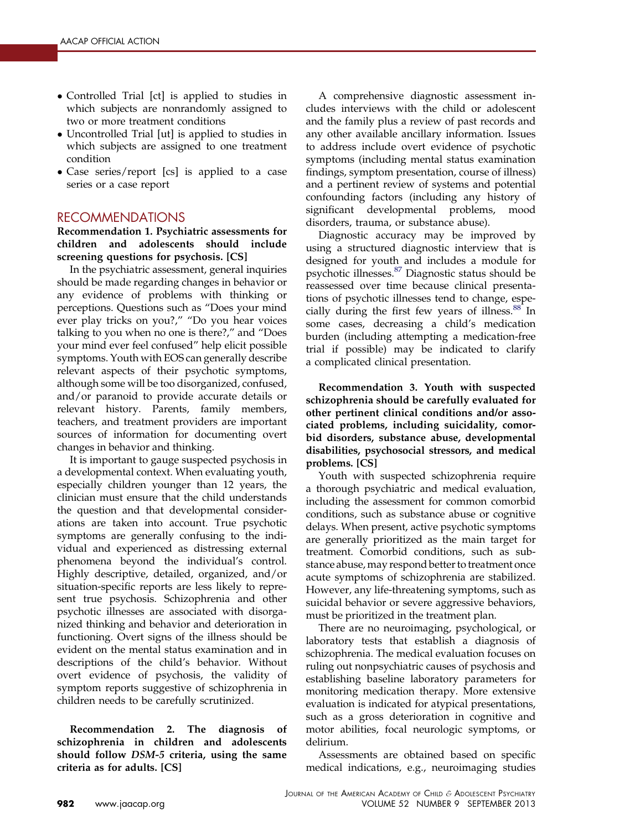- Controlled Trial [ct] is applied to studies in which subjects are nonrandomly assigned to two or more treatment conditions
- Uncontrolled Trial [ut] is applied to studies in which subjects are assigned to one treatment condition
- Case series/report [cs] is applied to a case series or a case report

## RECOMMENDATIONS

Recommendation 1. Psychiatric assessments for children and adolescents should include screening questions for psychosis. [CS]

In the psychiatric assessment, general inquiries should be made regarding changes in behavior or any evidence of problems with thinking or perceptions. Questions such as "Does your mind ever play tricks on you?," "Do you hear voices talking to you when no one is there?," and "Does your mind ever feel confused" help elicit possible symptoms. Youth with EOS can generally describe relevant aspects of their psychotic symptoms, although some will be too disorganized, confused, and/or paranoid to provide accurate details or relevant history. Parents, family members, teachers, and treatment providers are important sources of information for documenting overt changes in behavior and thinking.

It is important to gauge suspected psychosis in a developmental context. When evaluating youth, especially children younger than 12 years, the clinician must ensure that the child understands the question and that developmental considerations are taken into account. True psychotic symptoms are generally confusing to the individual and experienced as distressing external phenomena beyond the individual's control. Highly descriptive, detailed, organized, and/or situation-specific reports are less likely to represent true psychosis. Schizophrenia and other psychotic illnesses are associated with disorganized thinking and behavior and deterioration in functioning. Overt signs of the illness should be evident on the mental status examination and in descriptions of the child's behavior. Without overt evidence of psychosis, the validity of symptom reports suggestive of schizophrenia in children needs to be carefully scrutinized.

Recommendation 2. The diagnosis of schizophrenia in children and adolescents should follow DSM-5 criteria, using the same criteria as for adults. [CS]

A comprehensive diagnostic assessment includes interviews with the child or adolescent and the family plus a review of past records and any other available ancillary information. Issues to address include overt evidence of psychotic symptoms (including mental status examination findings, symptom presentation, course of illness) and a pertinent review of systems and potential confounding factors (including any history of significant developmental problems, mood disorders, trauma, or substance abuse).

Diagnostic accuracy may be improved by using a structured diagnostic interview that is designed for youth and includes a module for psychotic illnesses.[87](#page-13-0) Diagnostic status should be reassessed over time because clinical presentations of psychotic illnesses tend to change, espe-cially during the first few years of illness.<sup>[88](#page-13-0)</sup> In some cases, decreasing a child's medication burden (including attempting a medication-free trial if possible) may be indicated to clarify a complicated clinical presentation.

Recommendation 3. Youth with suspected schizophrenia should be carefully evaluated for other pertinent clinical conditions and/or associated problems, including suicidality, comorbid disorders, substance abuse, developmental disabilities, psychosocial stressors, and medical problems. [CS]

Youth with suspected schizophrenia require a thorough psychiatric and medical evaluation, including the assessment for common comorbid conditions, such as substance abuse or cognitive delays. When present, active psychotic symptoms are generally prioritized as the main target for treatment. Comorbid conditions, such as substance abuse, may respond better to treatment once acute symptoms of schizophrenia are stabilized. However, any life-threatening symptoms, such as suicidal behavior or severe aggressive behaviors, must be prioritized in the treatment plan.

There are no neuroimaging, psychological, or laboratory tests that establish a diagnosis of schizophrenia. The medical evaluation focuses on ruling out nonpsychiatric causes of psychosis and establishing baseline laboratory parameters for monitoring medication therapy. More extensive evaluation is indicated for atypical presentations, such as a gross deterioration in cognitive and motor abilities, focal neurologic symptoms, or delirium.

Assessments are obtained based on specific medical indications, e.g., neuroimaging studies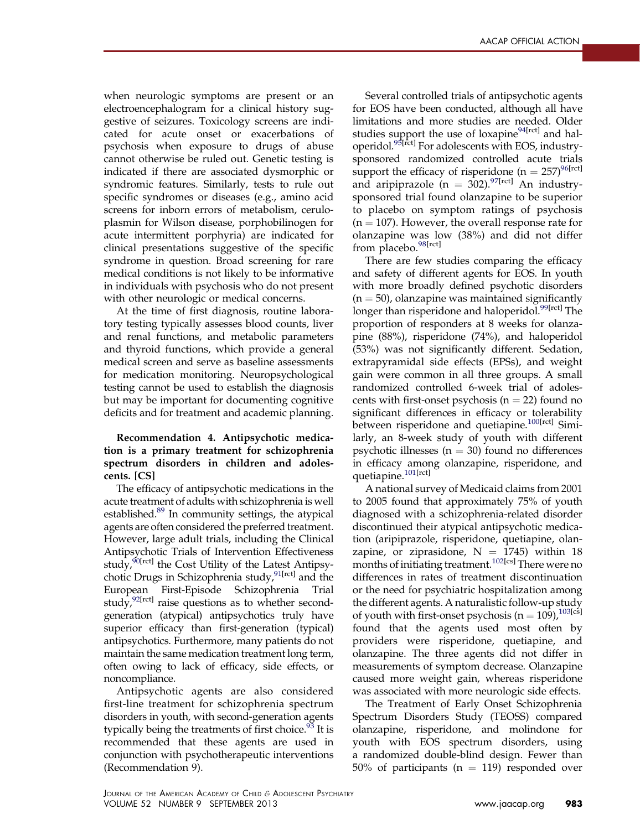when neurologic symptoms are present or an electroencephalogram for a clinical history suggestive of seizures. Toxicology screens are indicated for acute onset or exacerbations of psychosis when exposure to drugs of abuse cannot otherwise be ruled out. Genetic testing is indicated if there are associated dysmorphic or syndromic features. Similarly, tests to rule out specific syndromes or diseases (e.g., amino acid screens for inborn errors of metabolism, ceruloplasmin for Wilson disease, porphobilinogen for acute intermittent porphyria) are indicated for clinical presentations suggestive of the specific syndrome in question. Broad screening for rare medical conditions is not likely to be informative in individuals with psychosis who do not present with other neurologic or medical concerns.

At the time of first diagnosis, routine laboratory testing typically assesses blood counts, liver and renal functions, and metabolic parameters and thyroid functions, which provide a general medical screen and serve as baseline assessments for medication monitoring. Neuropsychological testing cannot be used to establish the diagnosis but may be important for documenting cognitive deficits and for treatment and academic planning.

## Recommendation 4. Antipsychotic medication is a primary treatment for schizophrenia spectrum disorders in children and adolescents. [CS]

The efficacy of antipsychotic medications in the acute treatment of adults with schizophrenia is well established[.89](#page-13-0) In community settings, the atypical agents are often considered the preferred treatment. However, large adult trials, including the Clinical Antipsychotic Trials of Intervention Effectiveness study, $90$ <sup>[rct]</sup> the Cost Utility of the Latest Antipsychotic Drugs in Schizophrenia study,  $91$ <sup>[rct]</sup> and the European First-Episode Schizophrenia Trial study, $92$ <sup>[rct]</sup> raise questions as to whether secondgeneration (atypical) antipsychotics truly have superior efficacy than first-generation (typical) antipsychotics. Furthermore, many patients do not maintain the same medication treatment long term, often owing to lack of efficacy, side effects, or noncompliance.

Antipsychotic agents are also considered first-line treatment for schizophrenia spectrum disorders in youth, with second-generation agents typically being the treatments of first choice.<sup>[93](#page-13-0)</sup> It is recommended that these agents are used in conjunction with psychotherapeutic interventions (Recommendation 9).

Several controlled trials of antipsychotic agents for EOS have been conducted, although all have limitations and more studies are needed. Older studies support the use of loxapine<sup>94[rct]</sup> and haloperidol.<sup>95[rct]</sup> For adolescents with EOS, industrysponsored randomized controlled acute trials support the efficacy of risperidone ( $n = 257$ )<sup>[96\[](#page-13-0)rct]</sup> and aripiprazole ( $n = 302$ ).<sup>[97](#page-13-0)[rct]</sup> An industrysponsored trial found olanzapine to be superior to placebo on symptom ratings of psychosis  $(n = 107)$ . However, the overall response rate for olanzapine was low (38%) and did not differ from placebo.<sup>[98](#page-13-0)[rct]</sup>

There are few studies comparing the efficacy and safety of different agents for EOS. In youth with more broadly defined psychotic disorders  $(n = 50)$ , olanzapine was maintained significantly longer than risperidone and haloperidol.<sup>[99\[](#page-13-0)rct]</sup> The proportion of responders at 8 weeks for olanzapine (88%), risperidone (74%), and haloperidol (53%) was not significantly different. Sedation, extrapyramidal side effects (EPSs), and weight gain were common in all three groups. A small randomized controlled 6-week trial of adolescents with first-onset psychosis ( $n = 22$ ) found no significant differences in efficacy or tolerability between risperidone and quetiapine.<sup>[100\[](#page-13-0)rct]</sup> Similarly, an 8-week study of youth with different psychotic illnesses ( $n = 30$ ) found no differences in efficacy among olanzapine, risperidone, and quetiapine.<sup>[101](#page-13-0)[rct]</sup>

A national survey of Medicaid claims from 2001 to 2005 found that approximately 75% of youth diagnosed with a schizophrenia-related disorder discontinued their atypical antipsychotic medication (aripiprazole, risperidone, quetiapine, olanzapine, or ziprasidone,  $N = 1745$ ) within 18 months of initiating treatment.<sup>[102](#page-14-0)[cs]</sup> There were no differences in rates of treatment discontinuation or the need for psychiatric hospitalization among the different agents. A naturalistic follow-up study of youth with first-onset psychosis ( $n = 109$ ),<sup>[103\[](#page-14-0)cs]</sup> found that the agents used most often by providers were risperidone, quetiapine, and olanzapine. The three agents did not differ in measurements of symptom decrease. Olanzapine caused more weight gain, whereas risperidone was associated with more neurologic side effects.

The Treatment of Early Onset Schizophrenia Spectrum Disorders Study (TEOSS) compared olanzapine, risperidone, and molindone for youth with EOS spectrum disorders, using a randomized double-blind design. Fewer than  $50\%$  of participants (n = 119) responded over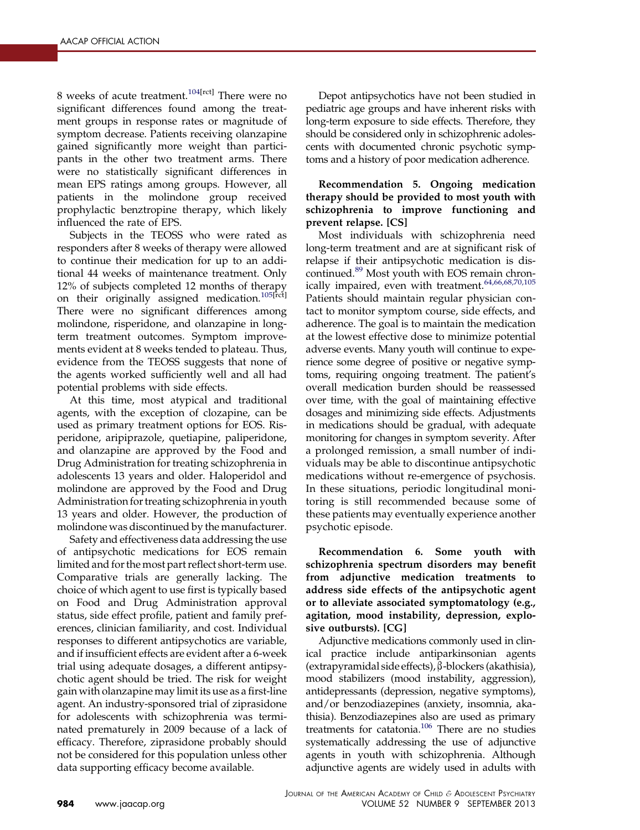8 weeks of acute treatment.<sup>[104\[](#page-14-0)rct]</sup> There were no significant differences found among the treatment groups in response rates or magnitude of symptom decrease. Patients receiving olanzapine gained significantly more weight than participants in the other two treatment arms. There were no statistically significant differences in mean EPS ratings among groups. However, all patients in the molindone group received prophylactic benztropine therapy, which likely influenced the rate of EPS.

Subjects in the TEOSS who were rated as responders after 8 weeks of therapy were allowed to continue their medication for up to an additional 44 weeks of maintenance treatment. Only 12% of subjects completed 12 months of therapy on their originally assigned medication.<sup>[105](#page-14-0)[rct]</sup> There were no significant differences among molindone, risperidone, and olanzapine in longterm treatment outcomes. Symptom improvements evident at 8 weeks tended to plateau. Thus, evidence from the TEOSS suggests that none of the agents worked sufficiently well and all had potential problems with side effects.

At this time, most atypical and traditional agents, with the exception of clozapine, can be used as primary treatment options for EOS. Risperidone, aripiprazole, quetiapine, paliperidone, and olanzapine are approved by the Food and Drug Administration for treating schizophrenia in adolescents 13 years and older. Haloperidol and molindone are approved by the Food and Drug Administration for treating schizophrenia in youth 13 years and older. However, the production of molindone was discontinued by the manufacturer.

Safety and effectiveness data addressing the use of antipsychotic medications for EOS remain limited and for the most part reflect short-term use. Comparative trials are generally lacking. The choice of which agent to use first is typically based on Food and Drug Administration approval status, side effect profile, patient and family preferences, clinician familiarity, and cost. Individual responses to different antipsychotics are variable, and if insufficient effects are evident after a 6-week trial using adequate dosages, a different antipsychotic agent should be tried. The risk for weight gain with olanzapine may limit its use as a first-line agent. An industry-sponsored trial of ziprasidone for adolescents with schizophrenia was terminated prematurely in 2009 because of a lack of efficacy. Therefore, ziprasidone probably should not be considered for this population unless other data supporting efficacy become available.

Depot antipsychotics have not been studied in pediatric age groups and have inherent risks with long-term exposure to side effects. Therefore, they should be considered only in schizophrenic adolescents with documented chronic psychotic symptoms and a history of poor medication adherence.

## Recommendation 5. Ongoing medication therapy should be provided to most youth with schizophrenia to improve functioning and prevent relapse. [CS]

Most individuals with schizophrenia need long-term treatment and are at significant risk of relapse if their antipsychotic medication is dis-continued.<sup>[89](#page-13-0)</sup> Most youth with EOS remain chron-ically impaired, even with treatment.<sup>[64,66,68,70,105](#page-13-0)</sup> Patients should maintain regular physician contact to monitor symptom course, side effects, and adherence. The goal is to maintain the medication at the lowest effective dose to minimize potential adverse events. Many youth will continue to experience some degree of positive or negative symptoms, requiring ongoing treatment. The patient's overall medication burden should be reassessed over time, with the goal of maintaining effective dosages and minimizing side effects. Adjustments in medications should be gradual, with adequate monitoring for changes in symptom severity. After a prolonged remission, a small number of individuals may be able to discontinue antipsychotic medications without re-emergence of psychosis. In these situations, periodic longitudinal monitoring is still recommended because some of these patients may eventually experience another psychotic episode.

Recommendation 6. Some youth with schizophrenia spectrum disorders may benefit from adjunctive medication treatments to address side effects of the antipsychotic agent or to alleviate associated symptomatology (e.g., agitation, mood instability, depression, explosive outbursts). [CG]

Adjunctive medications commonly used in clinical practice include antiparkinsonian agents  $(extrapvramidal side effects)$ ,  $\beta$ -blockers (akathisia), mood stabilizers (mood instability, aggression), antidepressants (depression, negative symptoms), and/or benzodiazepines (anxiety, insomnia, akathisia). Benzodiazepines also are used as primary treatments for catatonia.[106](#page-14-0) There are no studies systematically addressing the use of adjunctive agents in youth with schizophrenia. Although adjunctive agents are widely used in adults with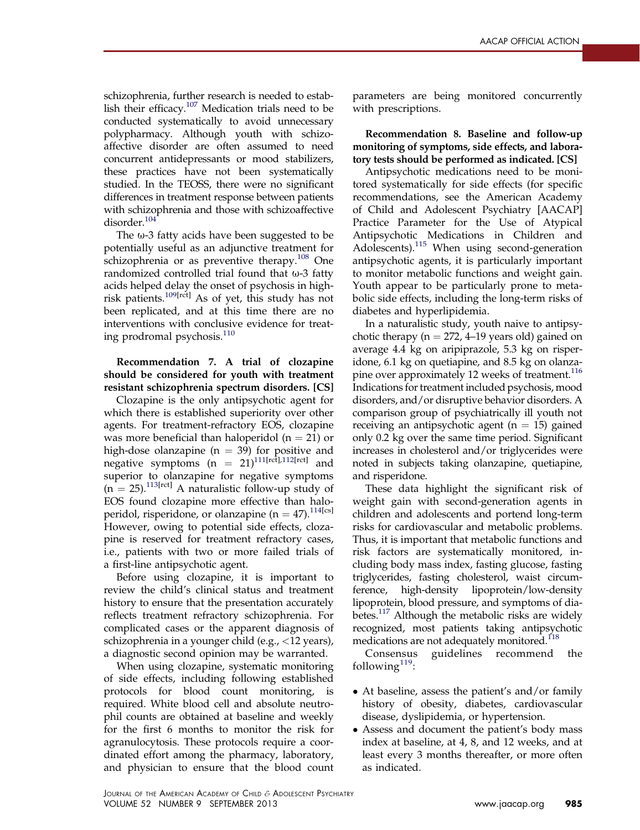schizophrenia, further research is needed to establish their efficacy.<sup>107</sup> Medication trials need to be conducted systematically to avoid unnecessary polypharmacy. Although youth with schizoaffective disorder are often assumed to need concurrent antidepressants or mood stabilizers, these practices have not been systematically studied. In the TEOSS, there were no significant differences in treatment response between patients with schizophrenia and those with schizoaffective disorder[.104](#page-14-0)

The  $\omega$ -3 fatty acids have been suggested to be potentially useful as an adjunctive treatment for schizophrenia or as preventive therapy.<sup>[108](#page-14-0)</sup> One randomized controlled trial found that  $\omega$ -3 fatty acids helped delay the onset of psychosis in high-risk patients.<sup>[109\[](#page-14-0)rct]</sup> As of yet, this study has not been replicated, and at this time there are no interventions with conclusive evidence for treating prodromal psychosis.[110](#page-14-0)

Recommendation 7. A trial of clozapine should be considered for youth with treatment resistant schizophrenia spectrum disorders. [CS]

Clozapine is the only antipsychotic agent for which there is established superiority over other agents. For treatment-refractory EOS, clozapine was more beneficial than haloperidol ( $n = 21$ ) or high-dose olanzapine (n = 39) for positive and<br>negative symptoms (n =  $21$ )<sup>111[rct],112[rct]</sup> and negative symptoms  $(n = 21)^{111[rct],112[rct]}$  $(n = 21)^{111[rct],112[rct]}$  $(n = 21)^{111[rct],112[rct]}$  $(n = 21)^{111[rct],112[rct]}$  $(n = 21)^{111[rct],112[rct]}$ superior to olanzapine for negative symptoms  $(n = 25).$ <sup>[113](#page-14-0)[rct]</sup> A naturalistic follow-up study of EOS found clozapine more effective than haloperidol, risperidone, or olanzapine  $(n = 47).$ <sup>[114](#page-14-0) $|cs|$ </sup> However, owing to potential side effects, clozapine is reserved for treatment refractory cases, i.e., patients with two or more failed trials of a first-line antipsychotic agent.

Before using clozapine, it is important to review the child's clinical status and treatment history to ensure that the presentation accurately reflects treatment refractory schizophrenia. For complicated cases or the apparent diagnosis of schizophrenia in a younger child (e.g., <12 years), a diagnostic second opinion may be warranted.

When using clozapine, systematic monitoring of side effects, including following established protocols for blood count monitoring, is required. White blood cell and absolute neutrophil counts are obtained at baseline and weekly for the first 6 months to monitor the risk for agranulocytosis. These protocols require a coordinated effort among the pharmacy, laboratory, and physician to ensure that the blood count parameters are being monitored concurrently with prescriptions.

Recommendation 8. Baseline and follow-up monitoring of symptoms, side effects, and laboratory tests should be performed as indicated. [CS]

Antipsychotic medications need to be monitored systematically for side effects (for specific recommendations, see the American Academy of Child and Adolescent Psychiatry [AACAP] Practice Parameter for the Use of Atypical Antipsychotic Medications in Children and Adolescents). $115$  When using second-generation antipsychotic agents, it is particularly important to monitor metabolic functions and weight gain. Youth appear to be particularly prone to metabolic side effects, including the long-term risks of diabetes and hyperlipidemia.

In a naturalistic study, youth naive to antipsychotic therapy ( $n = 272$ , 4–19 years old) gained on average 4.4 kg on aripiprazole, 5.3 kg on risperidone, 6.1 kg on quetiapine, and 8.5 kg on olanzapine over approximately 12 weeks of treatment.<sup>116</sup> Indications for treatment included psychosis, mood disorders, and/or disruptive behavior disorders. A comparison group of psychiatrically ill youth not receiving an antipsychotic agent ( $n = 15$ ) gained only 0.2 kg over the same time period. Significant increases in cholesterol and/or triglycerides were noted in subjects taking olanzapine, quetiapine, and risperidone.

These data highlight the significant risk of weight gain with second-generation agents in children and adolescents and portend long-term risks for cardiovascular and metabolic problems. Thus, it is important that metabolic functions and risk factors are systematically monitored, including body mass index, fasting glucose, fasting triglycerides, fasting cholesterol, waist circumference, high-density lipoprotein/low-density lipoprotein, blood pressure, and symptoms of dia-betes.<sup>[117](#page-14-0)</sup> Although the metabolic risks are widely recognized, most patients taking antipsychotic medications are not adequately monitored.<sup>118</sup>

Consensus guidelines recommend the following $119$ :

- At baseline, assess the patient's and/or family history of obesity, diabetes, cardiovascular disease, dyslipidemia, or hypertension.
- Assess and document the patient's body mass index at baseline, at 4, 8, and 12 weeks, and at least every 3 months thereafter, or more often as indicated.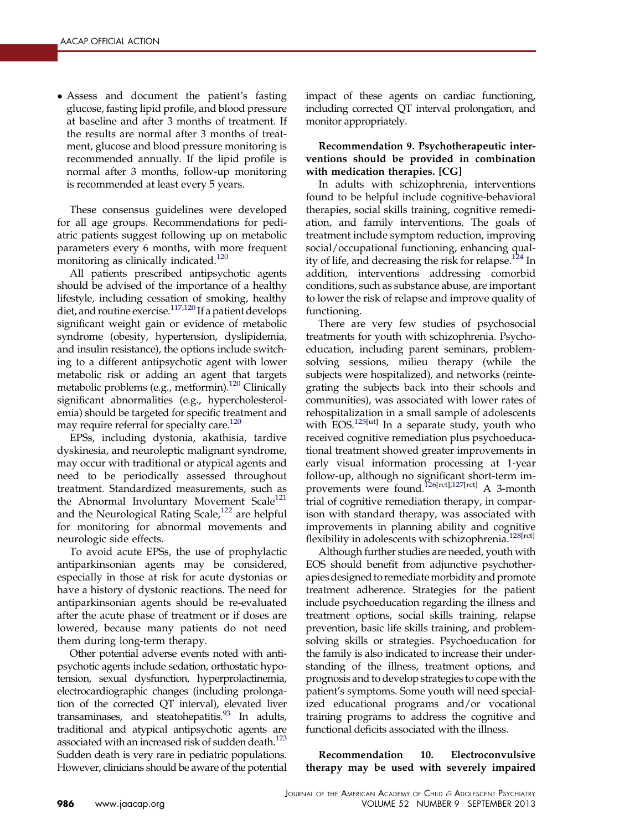Assess and document the patient's fasting glucose, fasting lipid profile, and blood pressure at baseline and after 3 months of treatment. If the results are normal after 3 months of treatment, glucose and blood pressure monitoring is recommended annually. If the lipid profile is normal after 3 months, follow-up monitoring is recommended at least every 5 years.

These consensus guidelines were developed for all age groups. Recommendations for pediatric patients suggest following up on metabolic parameters every 6 months, with more frequent monitoring as clinically indicated.<sup>[120](#page-14-0)</sup>

All patients prescribed antipsychotic agents should be advised of the importance of a healthy lifestyle, including cessation of smoking, healthy diet, and routine exercise.<sup>[117,120](#page-14-0)</sup> If a patient develops significant weight gain or evidence of metabolic syndrome (obesity, hypertension, dyslipidemia, and insulin resistance), the options include switching to a different antipsychotic agent with lower metabolic risk or adding an agent that targets metabolic problems (e.g., metformin).<sup>[120](#page-14-0)</sup> Clinically significant abnormalities (e.g., hypercholesterolemia) should be targeted for specific treatment and may require referral for specialty care.<sup>[120](#page-14-0)</sup>

EPSs, including dystonia, akathisia, tardive dyskinesia, and neuroleptic malignant syndrome, may occur with traditional or atypical agents and need to be periodically assessed throughout treatment. Standardized measurements, such as the Abnormal Involuntary Movement Scale<sup>[121](#page-14-0)</sup> and the Neurological Rating Scale,<sup>[122](#page-14-0)</sup> are helpful for monitoring for abnormal movements and neurologic side effects.

To avoid acute EPSs, the use of prophylactic antiparkinsonian agents may be considered, especially in those at risk for acute dystonias or have a history of dystonic reactions. The need for antiparkinsonian agents should be re-evaluated after the acute phase of treatment or if doses are lowered, because many patients do not need them during long-term therapy.

Other potential adverse events noted with antipsychotic agents include sedation, orthostatic hypotension, sexual dysfunction, hyperprolactinemia, electrocardiographic changes (including prolongation of the corrected QT interval), elevated liver transaminases, and steatohepatitis.<sup>93</sup> In adults, traditional and atypical antipsychotic agents are associated with an increased risk of sudden death.<sup>[123](#page-14-0)</sup> Sudden death is very rare in pediatric populations. However, clinicians should be aware of the potential

impact of these agents on cardiac functioning, including corrected QT interval prolongation, and monitor appropriately.

## Recommendation 9. Psychotherapeutic interventions should be provided in combination with medication therapies. [CG]

In adults with schizophrenia, interventions found to be helpful include cognitive-behavioral therapies, social skills training, cognitive remediation, and family interventions. The goals of treatment include symptom reduction, improving social/occupational functioning, enhancing qual-ity of life, and decreasing the risk for relapse.<sup>[124](#page-14-0)</sup> In addition, interventions addressing comorbid conditions, such as substance abuse, are important to lower the risk of relapse and improve quality of functioning.

There are very few studies of psychosocial treatments for youth with schizophrenia. Psychoeducation, including parent seminars, problemsolving sessions, milieu therapy (while the subjects were hospitalized), and networks (reintegrating the subjects back into their schools and communities), was associated with lower rates of rehospitalization in a small sample of adolescents with EOS.<sup>125[ut]</sup> In a separate study, youth who received cognitive remediation plus psychoeducational treatment showed greater improvements in early visual information processing at 1-year follow-up, although no significant short-term im-provements were found.<sup>126[rct][,127](#page-14-0)[rct]</sup> A 3-month trial of cognitive remediation therapy, in comparison with standard therapy, was associated with improvements in planning ability and cognitive flexibility in adolescents with schizophrenia.<sup>128[rct]</sup>

Although further studies are needed, youth with EOS should benefit from adjunctive psychotherapies designed to remediate morbidity and promote treatment adherence. Strategies for the patient include psychoeducation regarding the illness and treatment options, social skills training, relapse prevention, basic life skills training, and problemsolving skills or strategies. Psychoeducation for the family is also indicated to increase their understanding of the illness, treatment options, and prognosis and to develop strategies to cope with the patient's symptoms. Some youth will need specialized educational programs and/or vocational training programs to address the cognitive and functional deficits associated with the illness.

Recommendation 10. Electroconvulsive therapy may be used with severely impaired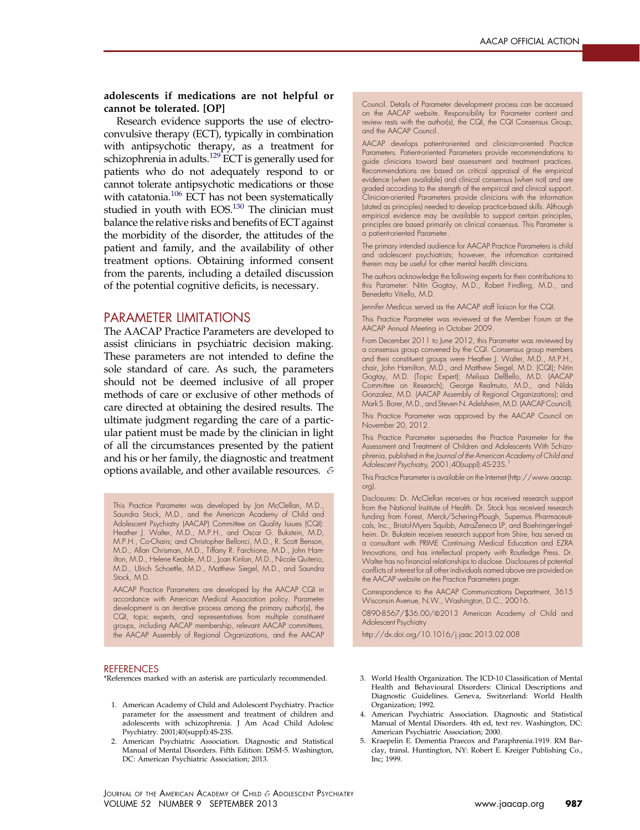#### <span id="page-11-0"></span>adolescents if medications are not helpful or cannot be tolerated. [OP]

Research evidence supports the use of electroconvulsive therapy (ECT), typically in combination with antipsychotic therapy, as a treatment for schizophrenia in adults.<sup>129</sup> ECT is generally used for patients who do not adequately respond to or cannot tolerate antipsychotic medications or those with catatonia.<sup>106</sup> ECT has not been systematically studied in youth with EOS.<sup>130</sup> The clinician must balance the relative risks and benefits of ECT against the morbidity of the disorder, the attitudes of the patient and family, and the availability of other treatment options. Obtaining informed consent from the parents, including a detailed discussion of the potential cognitive deficits, is necessary.

## PARAMETER LIMITATIONS

The AACAP Practice Parameters are developed to assist clinicians in psychiatric decision making. These parameters are not intended to define the sole standard of care. As such, the parameters should not be deemed inclusive of all proper methods of care or exclusive of other methods of care directed at obtaining the desired results. The ultimate judgment regarding the care of a particular patient must be made by the clinician in light of all the circumstances presented by the patient and his or her family, the diagnostic and treatment options available, and other available resources. &

This Practice Parameter was developed by Jon McClellan, M.D., Saundra Stock, M.D., and the American Academy of Child and Adolescent Psychiatry (AACAP) Committee on Quality Issues (CQI): Heather J. Walter, M.D., M.P.H., and Oscar G. Bukstein, M.D, M.P.H., Co-Chairs; and Christopher Bellonci, M.D., R. Scott Benson, M.D., Allan Chrisman, M.D., Tiffany R. Farchione, M.D., John Hamilton, M.D., Helene Keable, M.D., Joan Kinlan, M.D., Nicole Quiterio, M.D., Ulrich Schoettle, M.D., Matthew Siegel, M.D., and Saundra Stock, M.D.

AACAP Practice Parameters are developed by the AACAP CQI in accordance with American Medical Association policy. Parameter development is an iterative process among the primary author(s), the CQI, topic experts, and representatives from multiple constituent groups, including AACAP membership, relevant AACAP committees, the AACAP Assembly of Regional Organizations, and the AACAP

#### REFERENCES

\*References marked with an asterisk are particularly recommended.

- 1. American Academy of Child and Adolescent Psychiatry. Practice parameter for the assessment and treatment of children and adolescents with schizophrenia. J Am Acad Child Adolesc Psychiatry. 2001;40(suppl):4S-23S.
- 2. American Psychiatric Association. Diagnostic and Statistical Manual of Mental Disorders. Fifth Edition: DSM-5. Washington, DC: American Psychiatric Association; 2013.

Council. Details of Parameter development process can be accessed on the AACAP website. Responsibility for Parameter content and review rests with the author(s), the CQI, the CQI Consensus Group, and the AACAP Council.

AACAP develops patient-oriented and clinician-oriented Practice Parameters. Patient-oriented Parameters provide recommendations to guide clinicians toward best assessment and treatment practices. Recommendations are based on critical appraisal of the empirical evidence (when available) and clinical consensus (when not) and are graded according to the strength of the empirical and clinical support. Clinician-oriented Parameters provide clinicians with the information (stated as principles) needed to develop practice-based skills. Although empirical evidence may be available to support certain principles, principles are based primarily on clinical consensus. This Parameter is a patient-oriented Parameter.

The primary intended audience for AACAP Practice Parameters is child and adolescent psychiatrists; however, the information contained therein may be useful for other mental health clinicians.

The authors acknowledge the following experts for their contributions to this Parameter: Nitin Gogtay, M.D., Robert Findling, M.D., and Benedetto Vitiello, M.D.

Jennifer Medicus served as the AACAP staff liaison for the CQI.

This Practice Parameter was reviewed at the Member Forum at the AACAP Annual Meeting in October 2009.

From December 2011 to June 2012, this Parameter was reviewed by a consensus group convened by the CQI. Consensus group members and their constituent groups were Heather J. Walter, M.D., M.P.H., chair, John Hamilton, M.D., and Matthew Siegel, M.D. (CQI); Nitin Gogtay, M.D. (Topic Expert); Melissa DelBello, M.D. (AACAP Committee on Research); George Realmuto, M.D., and Nilda Gonzalez, M.D. (AACAP Assembly of Regional Organizations); and Mark S. Borer, M.D., and Steven N. Adelsheim, M.D. (AACAP Council).

This Practice Parameter was approved by the AACAP Council on November 20, 2012.

This Practice Parameter supersedes the Practice Parameter for the Assessment and Treatment of Children and Adolescents With Schizophrenia, published in the Journal of the American Academy of Child and Adolescent Psychiatry, 2001; 40(suppl): 4S-23S.

This Practice Parameter is available on the Internet ([http://www.aacap.](http://www.aacap.org) [org](http://www.aacap.org)).

Disclosures: Dr. McClellan receives or has received research support from the National Institute of Health. Dr. Stock has received research funding from Forest, Merck/Schering-Plough, Supernus Pharmaceuticals, Inc., Bristol-Myers Squibb, AstraZeneca LP, and Boehringer-Ingelheim. Dr. Bukstein receives research support from Shire, has served as a consultant with PRIME Continuing Medical Education and EZRA Innovations, and has intellectual property with Routledge Press. Dr. Walter has no financial relationships to disclose. Disclosures of potential conflicts of interest for all other individuals named above are provided on the AACAP website on the Practice Parameters page.

Correspondence to the AACAP Communications Department, 3615 Wisconsin Avenue, N.W., Washington, D.C., 20016.

0890-8567/\$36.00/@2013 American Academy of Child and Adolescent Psychiatry

<http://dx.doi.org/10.1016/j.jaac.2013.02.008>

- 3. World Health Organization. The ICD-10 Classification of Mental Health and Behavioural Disorders: Clinical Descriptions and Diagnostic Guidelines. Geneva, Switzerland: World Health Organization; 1992.
- 4. American Psychiatric Association. Diagnostic and Statistical Manual of Mental Disorders. 4th ed, text rev. Washington, DC: American Psychiatric Association; 2000.
- 5. Kraepelin E. Dementia Praecox and Paraphrenia.1919. RM Barclay, transl. Huntington, NY: Robert E. Kreiger Publishing Co., Inc; 1999.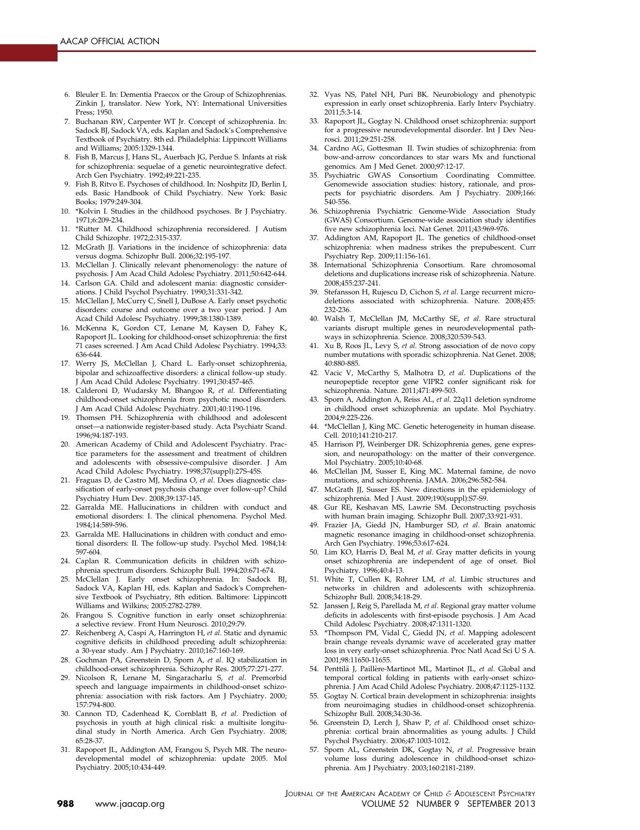- <span id="page-12-0"></span>6. Bleuler E. In: Dementia Praecox or the Group of Schizophrenias. Zinkin J, translator. New York, NY: International Universities Press; 1950.
- 7. Buchanan RW, Carpenter WT Jr. Concept of schizophrenia. In: Sadock BJ, Sadock VA, eds. Kaplan and Sadock's Comprehensive Textbook of Psychiatry. 8th ed. Philadelphia: Lippincott Williams and Williams; 2005:1329-1344.
- 8. Fish B, Marcus J, Hans SL, Auerbach JG, Perdue S. Infants at risk for schizophrenia: sequelae of a genetic neurointegrative defect. Arch Gen Psychiatry. 1992;49:221-235.
- 9. Fish B, Ritvo E. Psychoses of childhood. In: Noshpitz JD, Berlin I, eds. Basic Handbook of Child Psychiatry. New York: Basic Books; 1979:249-304.
- 10. \*Kolvin I. Studies in the childhood psychoses. Br J Psychiatry. 1971;6:209-234.
- 11. \*Rutter M. Childhood schizophrenia reconsidered. J Autism Child Schizophr. 1972;2:315-337.
- 12. McGrath JJ. Variations in the incidence of schizophrenia: data versus dogma. Schizophr Bull. 2006;32:195-197.
- 13. McClellan J. Clinically relevant phenomenology: the nature of psychosis. J Am Acad Child Adolesc Psychiatry. 2011;50:642-644.
- 14. Carlson GA. Child and adolescent mania: diagnostic considerations. J Child Psychol Psychiatry. 1990;31:331-342.
- 15. McClellan J, McCurry C, Snell J, DuBose A. Early onset psychotic disorders: course and outcome over a two year period. J Am Acad Child Adolesc Psychiatry. 1999;38:1380-1389.
- 16. McKenna K, Gordon CT, Lenane M, Kaysen D, Fahey K, Rapoport JL. Looking for childhood-onset schizophrenia: the first 71 cases screened. J Am Acad Child Adolesc Psychiatry. 1994;33: 636-644.
- 17. Werry JS, McClellan J, Chard L. Early-onset schizophrenia, bipolar and schizoaffective disorders: a clinical follow-up study. J Am Acad Child Adolesc Psychiatry. 1991;30:457-465.
- 18. Calderoni D, Wudarsky M, Bhangoo R, et al. Differentiating childhood-onset schizophrenia from psychotic mood disorders. Am Acad Child Adolesc Psychiatry. 2001;40:1190-1196.
- 19. Thomsen PH. Schizophrenia with childhood and adolescent onset—a nationwide register-based study. Acta Psychiatr Scand. 1996;94:187-193.
- 20. American Academy of Child and Adolescent Psychiatry. Practice parameters for the assessment and treatment of children and adolescents with obsessive-compulsive disorder. J Am Acad Child Adolesc Psychiatry. 1998;37(suppl):27S-45S.
- 21. Fraguas D, de Castro MJ, Medina O, et al. Does diagnostic classification of early-onset psychosis change over follow-up? Child Psychiatry Hum Dev. 2008;39:137-145.
- 22. Garralda ME. Hallucinations in children with conduct and emotional disorders: I. The clinical phenomena. Psychol Med. 1984;14:589-596.
- 23. Garralda ME. Hallucinations in children with conduct and emotional disorders: II. The follow-up study. Psychol Med. 1984;14: 597-604.
- 24. Caplan R. Communication deficits in children with schizophrenia spectrum disorders. Schizophr Bull. 1994;20:671-674.
- 25. McClellan J. Early onset schizophrenia. In: Sadock BJ, Sadock VA, Kaplan HI, eds. Kaplan and Sadock's Comprehensive Textbook of Psychiatry, 8th edition. Baltimore: Lippincott Williams and Wilkins; 2005:2782-2789.
- 26. Frangou S. Cognitive function in early onset schizophrenia: a selective review. Front Hum Neurosci. 2010;29:79.
- 27. Reichenberg A, Caspi A, Harrington H, et al. Static and dynamic cognitive deficits in childhood preceding adult schizophrenia: a 30-year study. Am J Psychiatry. 2010;167:160-169.
- 28. Gochman PA, Greenstein D, Sporn A, et al. IQ stabilization in childhood-onset schizophrenia. Schizophr Res. 2005;77:271-277.
- 29. Nicolson R, Lenane M, Singaracharlu S, et al. Premorbid speech and language impairments in childhood-onset schizophrenia: association with risk factors. Am J Psychiatry. 2000; 157:794-800.
- 30. Cannon TD, Cadenhead K, Cornblatt B, et al. Prediction of psychosis in youth at high clinical risk: a multisite longitudinal study in North America. Arch Gen Psychiatry. 2008; 65:28-37.
- 31. Rapoport JL, Addington AM, Frangou S, Psych MR. The neurodevelopmental model of schizophrenia: update 2005. Mol Psychiatry. 2005;10:434-449.
- 32. Vyas NS, Patel NH, Puri BK. Neurobiology and phenotypic expression in early onset schizophrenia. Early Interv Psychiatry. 2011;5:3-14.
- 33. Rapoport JL, Gogtay N. Childhood onset schizophrenia: support for a progressive neurodevelopmental disorder. Int J Dev Neurosci. 2011;29:251-258.
- 34. Cardno AG, Gottesman II. Twin studies of schizophrenia: from bow-and-arrow concordances to star wars Mx and functional genomics. Am J Med Genet. 2000;97:12-17.
- 35. Psychiatric GWAS Consortium Coordinating Committee. Genomewide association studies: history, rationale, and prospects for psychiatric disorders. Am J Psychiatry. 2009;166: 540-556.
- 36. Schizophrenia Psychiatric Genome-Wide Association Study (GWAS) Consortium. Genome-wide association study identifies five new schizophrenia loci. Nat Genet. 2011;43:969-976.
- 37. Addington AM, Rapoport JL. The genetics of childhood-onset schizophrenia: when madness strikes the prepubescent. Curr Psychiatry Rep. 2009;11:156-161.
- 38. International Schizophrenia Consortium. Rare chromosomal deletions and duplications increase risk of schizophrenia. Nature. 2008;455:237-241.
- 39. Stefansson H, Rujescu D, Cichon S, et al. Large recurrent microdeletions associated with schizophrenia. Nature. 2008;455: 232-236.
- 40. Walsh T, McClellan JM, McCarthy SE, et al. Rare structural variants disrupt multiple genes in neurodevelopmental pathways in schizophrenia. Science. 2008;320:539-543.
- 41. Xu B, Roos JL, Levy S, et al. Strong association of de novo copy number mutations with sporadic schizophrenia. Nat Genet. 2008; 40:880-885.
- 42. Vacic V, McCarthy S, Malhotra D, et al. Duplications of the neuropeptide receptor gene VIPR2 confer significant risk for schizophrenia. Nature. 2011;471:499-503.
- 43. Sporn A, Addington A, Reiss AL, et al. 22q11 deletion syndrome in childhood onset schizophrenia: an update. Mol Psychiatry. 2004;9:225-226.
- 44. \*McClellan J, King MC. Genetic heterogeneity in human disease. Cell. 2010;141:210-217.
- 45. Harrison PJ, Weinberger DR. Schizophrenia genes, gene expression, and neuropathology: on the matter of their convergence. Mol Psychiatry. 2005;10:40-68.
- 46. McClellan JM, Susser E, King MC. Maternal famine, de novo mutations, and schizophrenia. JAMA. 2006;296:582-584.
- 47. McGrath JJ, Susser ES. New directions in the epidemiology of schizophrenia. Med J Aust. 2009;190(suppl):S7-S9.
- 48. Gur RE, Keshavan MS, Lawrie SM. Deconstructing psychosis with human brain imaging. Schizophr Bull. 2007;33:921-931.
- 49. Frazier JA, Giedd JN, Hamburger SD, et al. Brain anatomic magnetic resonance imaging in childhood-onset schizophrenia. Arch Gen Psychiatry. 1996;53:617-624.
- 50. Lim KO, Harris D, Beal M, et al. Gray matter deficits in young onset schizophrenia are independent of age of onset. Biol Psychiatry. 1996;40:4-13.
- 51. White T, Cullen K, Rohrer LM, et al. Limbic structures and networks in children and adolescents with schizophrenia. Schizophr Bull. 2008;34:18-29.
- 52. Janssen J, Reig S, Parellada M, et al. Regional gray matter volume deficits in adolescents with first-episode psychosis. J Am Acad Child Adolesc Psychiatry. 2008;47:1311-1320.
- 53. \*Thompson PM, Vidal C, Giedd JN, et al. Mapping adolescent brain change reveals dynamic wave of accelerated gray matter loss in very early-onset schizophrenia. Proc Natl Acad Sci U S A. 2001;98:11650-11655.
- 54. Penttilä J, Paillère-Martinot ML, Martinot JL, et al. Global and temporal cortical folding in patients with early-onset schizophrenia. J Am Acad Child Adolesc Psychiatry. 2008;47:1125-1132.
- 55. Gogtay N. Cortical brain development in schizophrenia: insights from neuroimaging studies in childhood-onset schizophrenia. Schizophr Bull. 2008;34:30-36.
- 56. Greenstein D, Lerch J, Shaw P, et al. Childhood onset schizophrenia: cortical brain abnormalities as young adults. J Child Psychol Psychiatry. 2006;47:1003-1012.
- 57. Sporn AL, Greenstein DK, Gogtay N, et al. Progressive brain volume loss during adolescence in childhood-onset schizophrenia. Am J Psychiatry. 2003;160:2181-2189.

JOURNAL OF THE AMERICAN ACADEMY OF CHILD & ADOLESCENT PSYCHIATRY **988** [www.jaacap.org](http://www.jaacap.org) **VOLUME 52 NUMBER 9 SEPTEMBER 2013**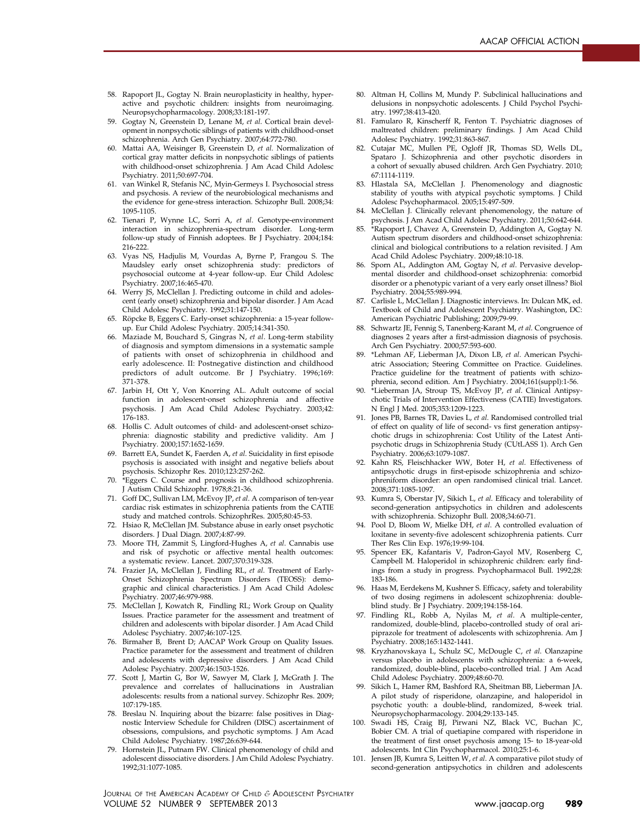- <span id="page-13-0"></span>58. Rapoport JL, Gogtay N. Brain neuroplasticity in healthy, hyperactive and psychotic children: insights from neuroimaging. Neuropsychopharmacology. 2008;33:181-197.
- 59. Gogtay N, Greenstein D, Lenane M, et al. Cortical brain development in nonpsychotic siblings of patients with childhood-onset schizophrenia. Arch Gen Psychiatry. 2007;64:772-780.
- 60. Mattai AA, Weisinger B, Greenstein D, et al. Normalization of cortical gray matter deficits in nonpsychotic siblings of patients with childhood-onset schizophrenia. J Am Acad Child Adolesc Psychiatry. 2011;50:697-704.
- 61. van Winkel R, Stefanis NC, Myin-Germeys I. Psychosocial stress and psychosis. A review of the neurobiological mechanisms and the evidence for gene-stress interaction. Schizophr Bull. 2008;34: 1095-1105.
- 62. Tienari P, Wynne LC, Sorri A, et al. Genotype-environment interaction in schizophrenia-spectrum disorder. Long-term follow-up study of Finnish adoptees. Br J Psychiatry. 2004;184: 216-222.
- 63. Vyas NS, Hadjulis M, Vourdas A, Byrne P, Frangou S. The Maudsley early onset schizophrenia study: predictors of psychosocial outcome at 4-year follow-up. Eur Child Adolesc Psychiatry. 2007;16:465-470.
- 64. Werry JS, McClellan J. Predicting outcome in child and adolescent (early onset) schizophrenia and bipolar disorder. J Am Acad Child Adolesc Psychiatry. 1992;31:147-150.
- 65. Röpcke B, Eggers C. Early-onset schizophrenia: a 15-year followup. Eur Child Adolesc Psychiatry. 2005;14:341-350.
- 66. Maziade M, Bouchard S, Gingras N, et al. Long-term stability of diagnosis and symptom dimensions in a systematic sample of patients with onset of schizophrenia in childhood and early adolescence. II: Postnegative distinction and childhood predictors of adult outcome. Br J Psychiatry. 1996;169: .<br>371-378.
- 67. Jarbin H, Ott Y, Von Knorring AL. Adult outcome of social function in adolescent-onset schizophrenia and affective psychosis. J Am Acad Child Adolesc Psychiatry. 2003;42: 176-183.
- 68. Hollis C. Adult outcomes of child- and adolescent-onset schizophrenia: diagnostic stability and predictive validity. Am J Psychiatry. 2000;157:1652-1659.
- 69. Barrett EA, Sundet K, Faerden A, et al. Suicidality in first episode psychosis is associated with insight and negative beliefs about psychosis. Schizophr Res. 2010;123:257-262.
- 70. \*Eggers C. Course and prognosis in childhood schizophrenia. J Autism Child Schizophr. 1978;8:21-36.
- 71. Goff DC, Sullivan LM, McEvoy JP, et al. A comparison of ten-year cardiac risk estimates in schizophrenia patients from the CATIE study and matched controls. SchizophrRes. 2005;80:45-53.
- 72. Hsiao R, McClellan JM. Substance abuse in early onset psychotic disorders. J Dual Diagn. 2007;4:87-99.
- 73. Moore TH, Zammit S, Lingford-Hughes A, et al. Cannabis use and risk of psychotic or affective mental health outcomes: a systematic review. Lancet. 2007;370:319-328.
- 74. Frazier JA, McClellan J, Findling RL, et al. Treatment of Early-Onset Schizophrenia Spectrum Disorders (TEOSS): demographic and clinical characteristics. J Am Acad Child Adolesc Psychiatry. 2007;46:979-988.
- 75. McClellan J, Kowatch R, Findling RL; Work Group on Quality Issues. Practice parameter for the assessment and treatment of children and adolescents with bipolar disorder. J Am Acad Child Adolesc Psychiatry. 2007;46:107-125.
- 76. Birmaher B, Brent D; AACAP Work Group on Quality Issues. Practice parameter for the assessment and treatment of children and adolescents with depressive disorders. J Am Acad Child Adolesc Psychiatry. 2007;46:1503-1526.
- 77. Scott J, Martin G, Bor W, Sawyer M, Clark J, McGrath J. The prevalence and correlates of hallucinations in Australian adolescents: results from a national survey. Schizophr Res. 2009; 107:179-185.
- 78. Breslau N. Inquiring about the bizarre: false positives in Diagnostic Interview Schedule for Children (DISC) ascertainment of obsessions, compulsions, and psychotic symptoms. J Am Acad Child Adolesc Psychiatry. 1987;26:639-644.
- 79. Hornstein JL, Putnam FW. Clinical phenomenology of child and adolescent dissociative disorders. J Am Child Adolesc Psychiatry. 1992;31:1077-1085.
- 80. Altman H, Collins M, Mundy P. Subclinical hallucinations and delusions in nonpsychotic adolescents. J Child Psychol Psychiatry. 1997;38:413-420.
- Famularo R, Kinscherff R, Fenton T. Psychiatric diagnoses of maltreated children: preliminary findings. J Am Acad Child Adolesc Psychiatry. 1992;31:863-867.
- 82. Cutajar MC, Mullen PE, Ogloff JR, Thomas SD, Wells DL, Spataro J. Schizophrenia and other psychotic disorders in a cohort of sexually abused children. Arch Gen Psychiatry. 2010; 67:1114-1119.
- 83. Hlastala SA, McClellan J. Phenomenology and diagnostic stability of youths with atypical psychotic symptoms. J Child Adolesc Psychopharmacol. 2005;15:497-509.
- 84. McClellan J. Clinically relevant phenomenology, the nature of psychosis. J Am Acad Child Adolesc Psychiatry. 2011;50:642-644.
- 85. \*Rapoport J, Chavez A, Greenstein D, Addington A, Gogtay N. Autism spectrum disorders and childhood-onset schizophrenia: clinical and biological contributions to a relation revisited. J Am Acad Child Adolesc Psychiatry. 2009;48:10-18.
- 86. Sporn AL, Addington AM, Gogtay N, et al. Pervasive developmental disorder and childhood-onset schizophrenia: comorbid disorder or a phenotypic variant of a very early onset illness? Biol Psychiatry. 2004;55:989-994.
- 87. Carlisle L, McClellan J. Diagnostic interviews. In: Dulcan MK, ed. Textbook of Child and Adolescent Psychiatry. Washington, DC: American Psychiatric Publishing; 2009;79-99.
- Schwartz JE, Fennig S, Tanenberg-Karant M, et al. Congruence of diagnoses 2 years after a first-admission diagnosis of psychosis. Arch Gen Psychiatry. 2000;57:593-600.
- 89. \*Lehman AF, Lieberman JA, Dixon LB, et al. American Psychiatric Association; Steering Committee on Practice. Guidelines. Practice guideline for the treatment of patients with schizophrenia, second edition. Am J Psychiatry. 2004;161(suppl):1-56.
- 90. \*Lieberman JA, Stroup TS, McEvoy JP, et al. Clinical Antipsychotic Trials of Intervention Effectiveness (CATIE) Investigators. N Engl J Med. 2005;353:1209-1223.
- 91. Jones PB, Barnes TR, Davies L, et al. Randomised controlled trial of effect on quality of life of second- vs first generation antipsychotic drugs in schizophrenia: Cost Utility of the Latest Antipsychotic drugs in Schizophrenia Study (CUtLASS 1). Arch Gen Psychiatry. 2006;63:1079-1087.
- 92. Kahn RS, Fleischhacker WW, Boter H, et al. Effectiveness of antipsychotic drugs in first-episode schizophrenia and schizophreniform disorder: an open randomised clinical trial. Lancet. 2008;371:1085-1097.
- 93. Kumra S, Oberstar JV, Sikich L, et al. Efficacy and tolerability of second-generation antipsychotics in children and adolescents with schizophrenia. Schizophr Bull. 2008;34:60-71.
- 94. Pool D, Bloom W, Mielke DH, et al. A controlled evaluation of loxitane in seventy-five adolescent schizophrenia patients. Curr Ther Res Clin Exp. 1976;19:99-104.
- 95. Spencer EK, Kafantaris V, Padron-Gayol MV, Rosenberg C, Campbell M. Haloperidol in schizophrenic children: early findings from a study in progress. Psychopharmacol Bull. 1992;28: 183-186.
- 96. Haas M, Eerdekens M, Kushner S. Efficacy, safety and tolerability of two dosing regimens in adolescent schizophrenia: doubleblind study. Br J Psychiatry. 2009;194:158-164.
- 97. Findling RL, Robb A, Nyilas M, et al. A multiple-center, randomized, double-blind, placebo-controlled study of oral aripiprazole for treatment of adolescents with schizophrenia. Am J Psychiatry. 2008;165:1432-1441.
- 98. Kryzhanovskaya L, Schulz SC, McDougle C, et al. Olanzapine versus placebo in adolescents with schizophrenia: a 6-week, randomized, double-blind, placebo-controlled trial. J Am Acad Child Adolesc Psychiatry. 2009;48:60-70.
- 99. Sikich L, Hamer RM, Bashford RA, Sheitman BB, Lieberman JA. A pilot study of risperidone, olanzapine, and haloperidol in psychotic youth: a double-blind, randomized, 8-week trial. Neuropsychopharmacology. 2004;29:133-145.
- 100. Swadi HS, Craig BJ, Pirwani NZ, Black VC, Buchan JC, Bobier CM. A trial of quetiapine compared with risperidone in the treatment of first onset psychosis among 15- to 18-year-old adolescents. Int Clin Psychopharmacol. 2010;25:1-6.
- 101. Jensen JB, Kumra S, Leitten W, et al. A comparative pilot study of second-generation antipsychotics in children and adolescents